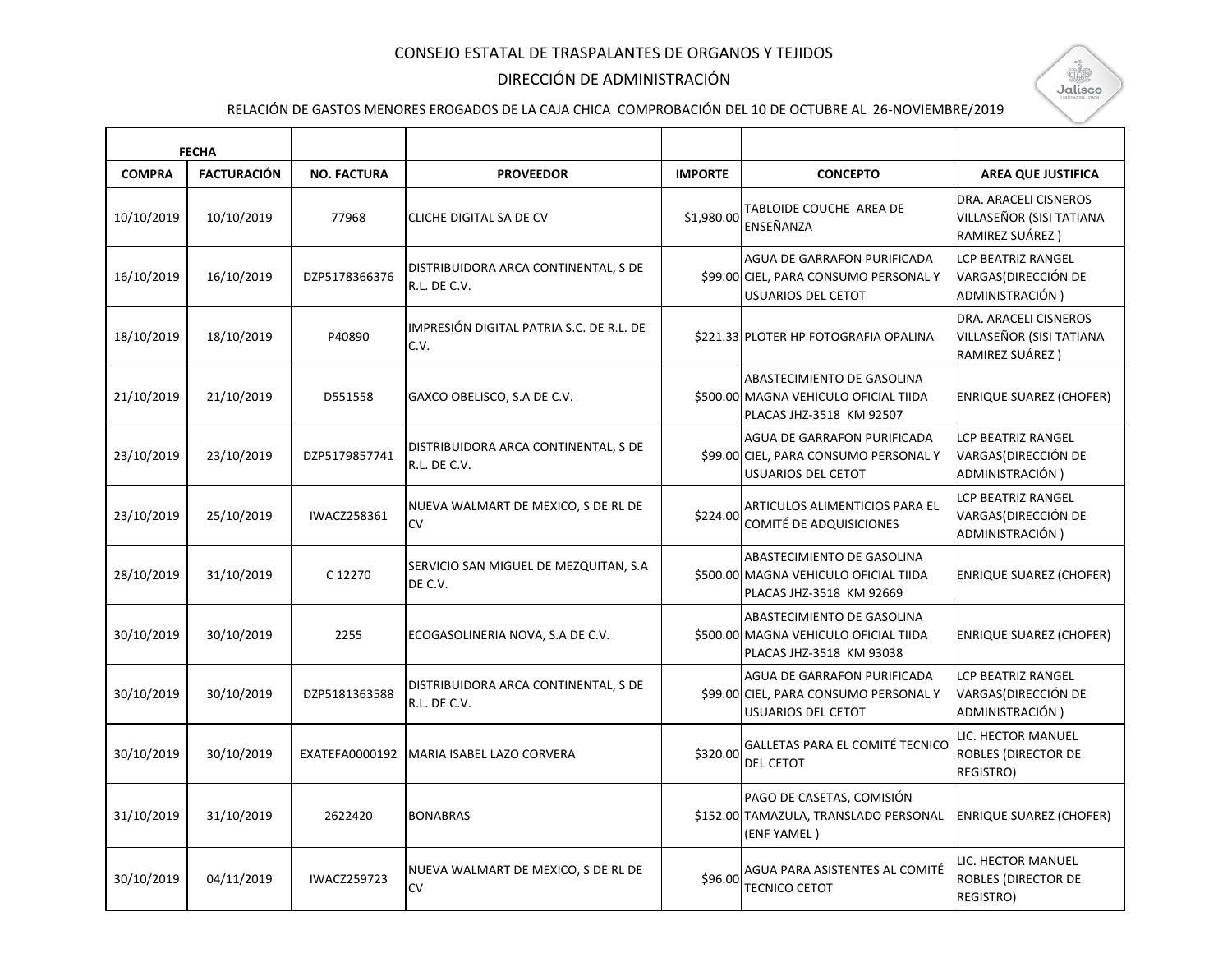#### CONSEJO ESTATAL DE TRASPALANTES DE ORGANOS Y TEJIDOS

# DIRECCIÓN DE ADMINISTRACIÓN



### RELACIÓN DE GASTOS MENORES EROGADOS DE LA CAJA CHICA COMPROBACIÓN DEL 10 DE OCTUBRE AL 26-NOVIEMBRE/2019

| <b>FECHA</b>  |                    |                    |                                                      |                |                                                                                                   |                                                                      |
|---------------|--------------------|--------------------|------------------------------------------------------|----------------|---------------------------------------------------------------------------------------------------|----------------------------------------------------------------------|
| <b>COMPRA</b> | <b>FACTURACIÓN</b> | <b>NO. FACTURA</b> | <b>PROVEEDOR</b>                                     | <b>IMPORTE</b> | <b>CONCEPTO</b>                                                                                   | <b>AREA QUE JUSTIFICA</b>                                            |
| 10/10/2019    | 10/10/2019         | 77968              | CLICHE DIGITAL SA DE CV                              | \$1,980.00     | TABLOIDE COUCHE AREA DE<br>ENSEÑANZA                                                              | DRA. ARACELI CISNEROS<br>VILLASEÑOR (SISI TATIANA<br>RAMIREZ SUÁREZ) |
| 16/10/2019    | 16/10/2019         | DZP5178366376      | DISTRIBUIDORA ARCA CONTINENTAL, S DE<br>R.L. DE C.V. |                | AGUA DE GARRAFON PURIFICADA<br>\$99.00 CIEL, PARA CONSUMO PERSONAL Y<br>USUARIOS DEL CETOT        | <b>LCP BEATRIZ RANGEL</b><br>VARGAS(DIRECCIÓN DE<br>ADMINISTRACIÓN)  |
| 18/10/2019    | 18/10/2019         | P40890             | IMPRESIÓN DIGITAL PATRIA S.C. DE R.L. DE<br>C.V.     |                | \$221.33 PLOTER HP FOTOGRAFIA OPALINA                                                             | DRA. ARACELI CISNEROS<br>VILLASEÑOR (SISI TATIANA<br>RAMIREZ SUÁREZ) |
| 21/10/2019    | 21/10/2019         | D551558            | GAXCO OBELISCO, S.A DE C.V.                          |                | ABASTECIMIENTO DE GASOLINA<br>\$500.00 MAGNA VEHICULO OFICIAL TIIDA<br>PLACAS JHZ-3518 KM 92507   | <b>ENRIQUE SUAREZ (CHOFER)</b>                                       |
| 23/10/2019    | 23/10/2019         | DZP5179857741      | DISTRIBUIDORA ARCA CONTINENTAL, S DE<br>R.L. DE C.V. |                | AGUA DE GARRAFON PURIFICADA<br>\$99.00 CIEL, PARA CONSUMO PERSONAL Y<br>USUARIOS DEL CETOT        | <b>LCP BEATRIZ RANGEL</b><br>VARGAS(DIRECCIÓN DE<br>ADMINISTRACIÓN)  |
| 23/10/2019    | 25/10/2019         | <b>IWACZ258361</b> | NUEVA WALMART DE MEXICO, S DE RL DE<br>CV            | \$224.00       | ARTICULOS ALIMENTICIOS PARA EL<br>COMITÉ DE ADQUISICIONES                                         | LCP BEATRIZ RANGEL<br>VARGAS(DIRECCIÓN DE<br>ADMINISTRACIÓN )        |
| 28/10/2019    | 31/10/2019         | C 12270            | SERVICIO SAN MIGUEL DE MEZQUITAN, S.A<br>DE C.V.     |                | ABASTECIMIENTO DE GASOLINA<br>\$500.00 MAGNA VEHICULO OFICIAL TIIDA<br>PLACAS JHZ-3518 KM 92669   | <b>ENRIQUE SUAREZ (CHOFER)</b>                                       |
| 30/10/2019    | 30/10/2019         | 2255               | ECOGASOLINERIA NOVA, S.A DE C.V.                     |                | ABASTECIMIENTO DE GASOLINA<br>\$500.00 MAGNA VEHICULO OFICIAL TIIDA<br>PLACAS JHZ-3518 KM 93038   | <b>ENRIQUE SUAREZ (CHOFER)</b>                                       |
| 30/10/2019    | 30/10/2019         | DZP5181363588      | DISTRIBUIDORA ARCA CONTINENTAL, S DE<br>R.L. DE C.V. |                | AGUA DE GARRAFON PURIFICADA<br>\$99.00 CIEL, PARA CONSUMO PERSONAL Y<br><b>USUARIOS DEL CETOT</b> | LCP BEATRIZ RANGEL<br>VARGAS (DIRECCIÓN DE<br>ADMINISTRACIÓN)        |
| 30/10/2019    | 30/10/2019         | EXATEFA0000192     | MARIA ISABEL LAZO CORVERA                            | \$320.00       | <b>GALLETAS PARA EL COMITÉ TECNICO</b><br><b>DEL CETOT</b>                                        | LIC. HECTOR MANUEL<br><b>ROBLES (DIRECTOR DE</b><br>REGISTRO)        |
| 31/10/2019    | 31/10/2019         | 2622420            | <b>BONABRAS</b>                                      |                | PAGO DE CASETAS, COMISIÓN<br>\$152.00 TAMAZULA, TRANSLADO PERSONAL<br>(ENF YAMEL)                 | <b>ENRIQUE SUAREZ (CHOFER)</b>                                       |
| 30/10/2019    | 04/11/2019         | <b>IWACZ259723</b> | NUEVA WALMART DE MEXICO, S DE RL DE<br><b>CV</b>     | \$96.00        | AGUA PARA ASISTENTES AL COMITÉ<br><b>TECNICO CETOT</b>                                            | LIC. HECTOR MANUEL<br><b>ROBLES (DIRECTOR DE</b><br>REGISTRO)        |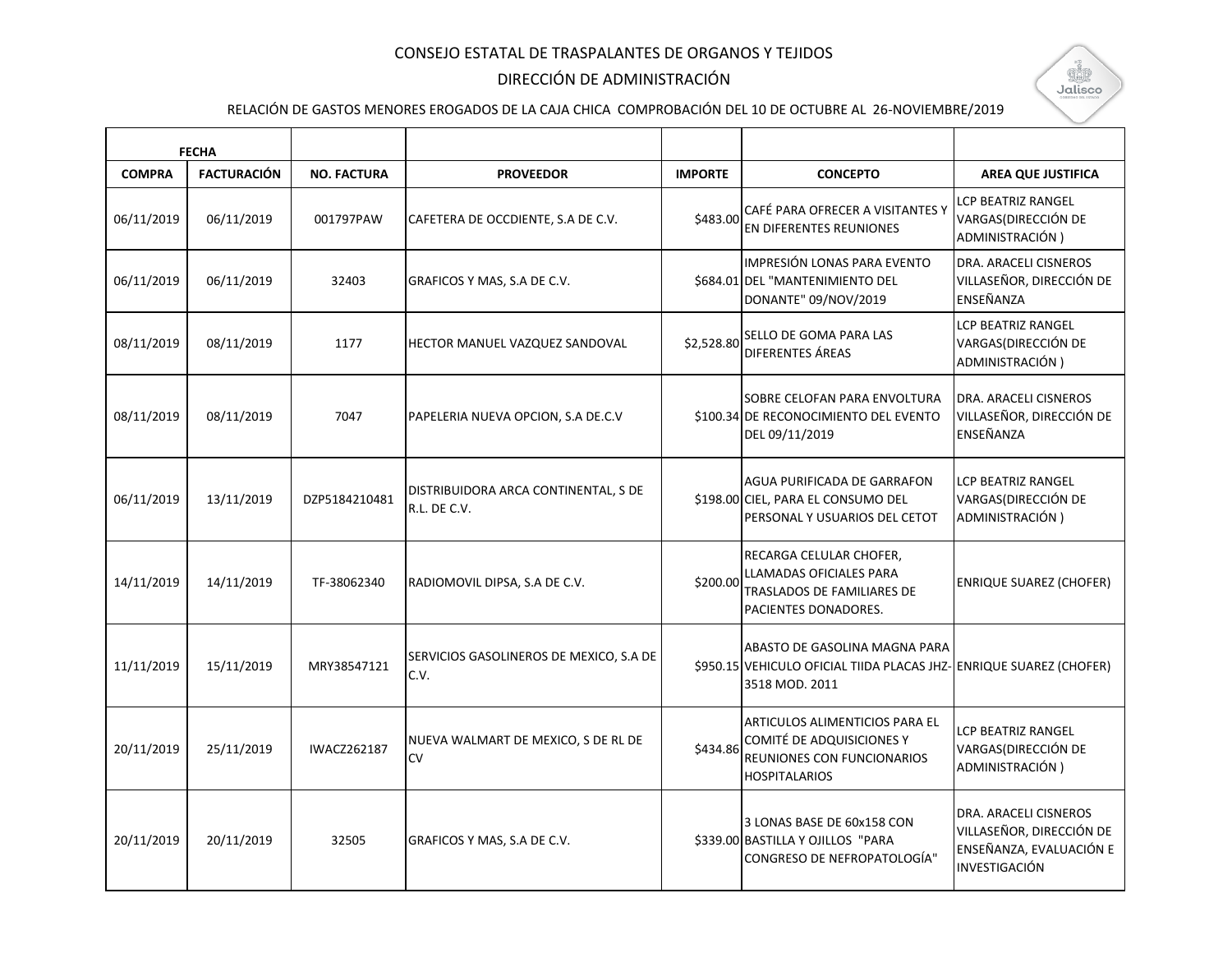#### CONSEJO ESTATAL DE TRASPALANTES DE ORGANOS Y TEJIDOS

# DIRECCIÓN DE ADMINISTRACIÓN



RELACIÓN DE GASTOS MENORES EROGADOS DE LA CAJA CHICA COMPROBACIÓN DEL 10 DE OCTUBRE AL 26-NOVIEMBRE/2019

| <b>FECHA</b>  |                    |                    |                                                      |                |                                                                                                                          |                                                                                                      |
|---------------|--------------------|--------------------|------------------------------------------------------|----------------|--------------------------------------------------------------------------------------------------------------------------|------------------------------------------------------------------------------------------------------|
| <b>COMPRA</b> | <b>FACTURACIÓN</b> | <b>NO. FACTURA</b> | <b>PROVEEDOR</b>                                     | <b>IMPORTE</b> | <b>CONCEPTO</b>                                                                                                          | <b>AREA QUE JUSTIFICA</b>                                                                            |
| 06/11/2019    | 06/11/2019         | 001797PAW          | CAFETERA DE OCCDIENTE, S.A DE C.V.                   | \$483.00       | CAFÉ PARA OFRECER A VISITANTES Y<br>EN DIFERENTES REUNIONES                                                              | LCP BEATRIZ RANGEL<br>VARGAS(DIRECCIÓN DE<br>ADMINISTRACIÓN)                                         |
| 06/11/2019    | 06/11/2019         | 32403              | GRAFICOS Y MAS, S.A DE C.V.                          |                | IMPRESIÓN LONAS PARA EVENTO<br>\$684.01 DEL "MANTENIMIENTO DEL<br>DONANTE" 09/NOV/2019                                   | DRA. ARACELI CISNEROS<br>VILLASEÑOR, DIRECCIÓN DE<br>ENSEÑANZA                                       |
| 08/11/2019    | 08/11/2019         | 1177               | HECTOR MANUEL VAZQUEZ SANDOVAL                       | \$2,528.80     | SELLO DE GOMA PARA LAS<br>DIFERENTES ÁREAS                                                                               | LCP BEATRIZ RANGEL<br>VARGAS(DIRECCIÓN DE<br>ADMINISTRACIÓN)                                         |
| 08/11/2019    | 08/11/2019         | 7047               | PAPELERIA NUEVA OPCION, S.A DE.C.V                   |                | SOBRE CELOFAN PARA ENVOLTURA<br>\$100.34 DE RECONOCIMIENTO DEL EVENTO<br>DEL 09/11/2019                                  | DRA. ARACELI CISNEROS<br>VILLASEÑOR, DIRECCIÓN DE<br>ENSEÑANZA                                       |
| 06/11/2019    | 13/11/2019         | DZP5184210481      | DISTRIBUIDORA ARCA CONTINENTAL, S DE<br>R.L. DE C.V. |                | AGUA PURIFICADA DE GARRAFON<br>\$198.00 CIEL, PARA EL CONSUMO DEL<br>PERSONAL Y USUARIOS DEL CETOT                       | <b>LCP BEATRIZ RANGEL</b><br>VARGAS(DIRECCIÓN DE<br>ADMINISTRACIÓN)                                  |
| 14/11/2019    | 14/11/2019         | TF-38062340        | RADIOMOVIL DIPSA, S.A DE C.V.                        | \$200.00       | RECARGA CELULAR CHOFER,<br>LLAMADAS OFICIALES PARA<br>TRASLADOS DE FAMILIARES DE<br>PACIENTES DONADORES.                 | <b>ENRIQUE SUAREZ (CHOFER)</b>                                                                       |
| 11/11/2019    | 15/11/2019         | MRY38547121        | SERVICIOS GASOLINEROS DE MEXICO, S.A DE<br>C.V.      |                | ABASTO DE GASOLINA MAGNA PARA<br>\$950.15 VEHICULO OFICIAL TIIDA PLACAS JHZ- ENRIQUE SUAREZ (CHOFER)<br>3518 MOD. 2011   |                                                                                                      |
| 20/11/2019    | 25/11/2019         | <b>IWACZ262187</b> | NUEVA WALMART DE MEXICO, S DE RL DE<br>CV            | \$434.86       | ARTICULOS ALIMENTICIOS PARA EL<br>COMITÉ DE ADQUISICIONES Y<br><b>REUNIONES CON FUNCIONARIOS</b><br><b>HOSPITALARIOS</b> | LCP BEATRIZ RANGEL<br>VARGAS(DIRECCIÓN DE<br>ADMINISTRACIÓN)                                         |
| 20/11/2019    | 20/11/2019         | 32505              | GRAFICOS Y MAS, S.A DE C.V.                          |                | 3 LONAS BASE DE 60x158 CON<br>\$339.00 BASTILLA Y OJILLOS "PARA<br>CONGRESO DE NEFROPATOLOGÍA"                           | DRA. ARACELI CISNEROS<br>VILLASEÑOR, DIRECCIÓN DE<br>ENSEÑANZA, EVALUACIÓN E<br><b>INVESTIGACIÓN</b> |